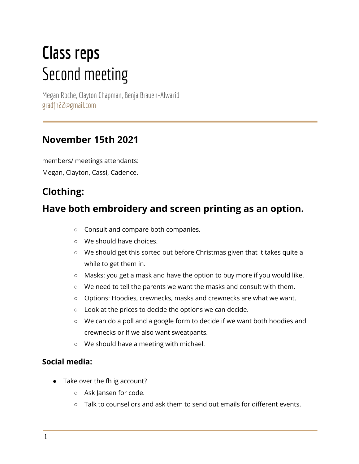# **Class reps** Second meeting

Megan Roche, Clayton Chapman, Benja Brauen-Alwarid gradfh22@gmail.com

### **November 15th 2021**

members/ meetings attendants: Megan, Clayton, Cassi, Cadence.

# **Clothing:**

## **Have both embroidery and screen printing as an option.**

- Consult and compare both companies.
- We should have choices.
- We should get this sorted out before Christmas given that it takes quite a while to get them in.
- Masks: you get a mask and have the option to buy more if you would like.
- We need to tell the parents we want the masks and consult with them.
- Options: Hoodies, crewnecks, masks and crewnecks are what we want.
- Look at the prices to decide the options we can decide.
- We can do a poll and a google form to decide if we want both hoodies and crewnecks or if we also want sweatpants.
- We should have a meeting with michael.

#### **Social media:**

- Take over the fh ig account?
	- Ask Jansen for code.
	- Talk to counsellors and ask them to send out emails for different events.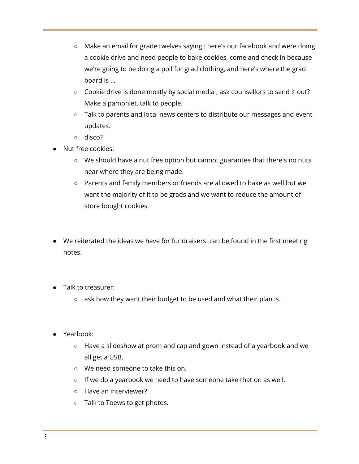- Make an email for grade twelves saying : here's our facebook and were doing a cookie drive and need people to bake cookies, come and check in because we're going to be doing a poll for grad clothing, and here's where the grad board is ...
- Cookie drive is done mostly by social media , ask counsellors to send it out? Make a pamphlet, talk to people.
- Talk to parents and local news centers to distribute our messages and event updates.
- disco?
- Nut free cookies:
	- We should have a nut free option but cannot guarantee that there's no nuts near where they are being made.
	- Parents and family members or friends are allowed to bake as well but we want the majority of it to be grads and we want to reduce the amount of store bought cookies.
- We reiterated the ideas we have for fundraisers: can be found in the first meeting notes.
- Talk to treasurer:
	- ask how they want their budget to be used and what their plan is.
- Yearbook:
	- Have a slideshow at prom and cap and gown instead of a yearbook and we all get a USB.
	- We need someone to take this on.
	- If we do a yearbook we need to have someone take that on as well.
	- Have an interviewer?
	- Talk to Toews to get photos.